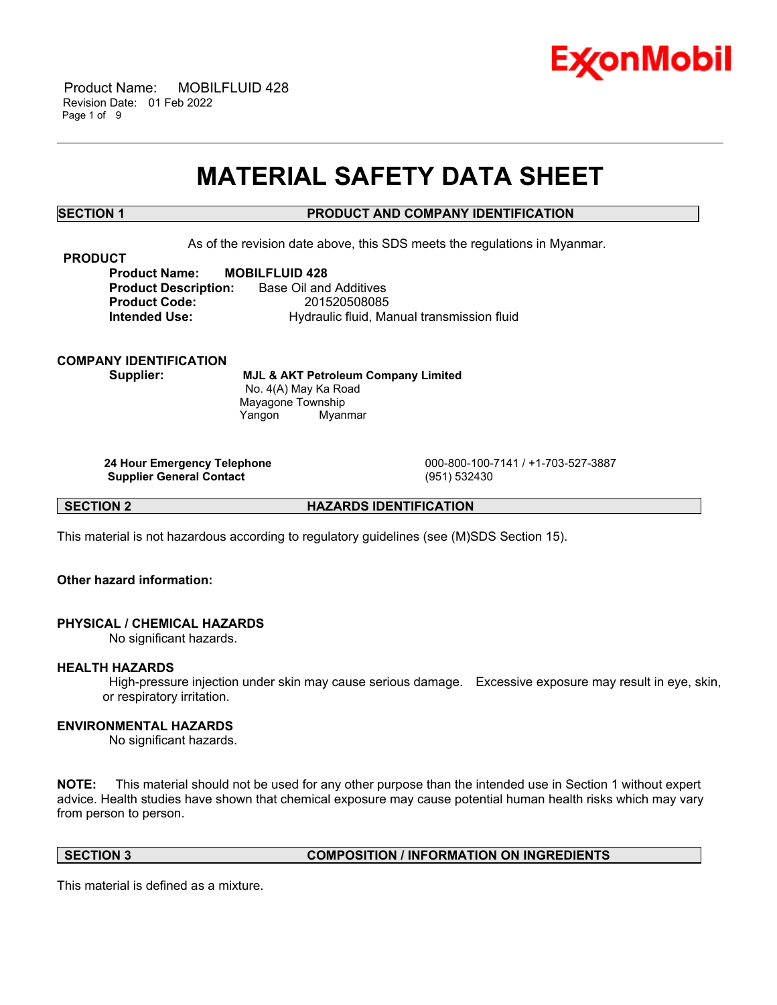

## **MATERIAL SAFETY DATA SHEET**

\_\_\_\_\_\_\_\_\_\_\_\_\_\_\_\_\_\_\_\_\_\_\_\_\_\_\_\_\_\_\_\_\_\_\_\_\_\_\_\_\_\_\_\_\_\_\_\_\_\_\_\_\_\_\_\_\_\_\_\_\_\_\_\_\_\_\_\_\_\_\_\_\_\_\_\_\_\_\_\_\_\_\_\_\_\_\_\_\_\_\_\_\_\_\_\_\_\_\_\_\_\_\_\_\_\_\_\_\_\_\_\_\_\_\_\_\_\_

### **SECTION 1 PRODUCT AND COMPANY IDENTIFICATION**

As of the revision date above, this SDS meets the regulations in Myanmar.

**PRODUCT**

**Product Name: MOBILFLUID 428 Product Description:** Base Oil and Additives **Product Code:** 201520508085 **Intended Use: Hydraulic fluid, Manual transmission fluid** 

**COMPANY IDENTIFICATION**

**Supplier: MJL & AKT Petroleum Company Limited** No. 4(A) May Ka Road Mayagone Township Yangon Myanmar

**Supplier General Contact** (951) 532430

**24 Hour Emergency Telephone** 000-800-100-7141 / +1-703-527-3887

**SECTION 2 HAZARDS IDENTIFICATION**

This material is not hazardous according to regulatory guidelines (see (M)SDS Section 15).

**Other hazard information:**

#### **PHYSICAL / CHEMICAL HAZARDS**

No significant hazards.

#### **HEALTH HAZARDS**

High-pressure injection under skin may cause serious damage. Excessive exposure may result in eye, skin, or respiratory irritation.

#### **ENVIRONMENTAL HAZARDS**

No significant hazards.

**NOTE:** This material should not be used for any other purpose than the intended use in Section 1 without expert advice. Health studies have shown that chemical exposure may cause potential human health risks which may vary from person to person.

#### **SECTION 3 COMPOSITION / INFORMATION ON INGREDIENTS**

This material is defined as a mixture.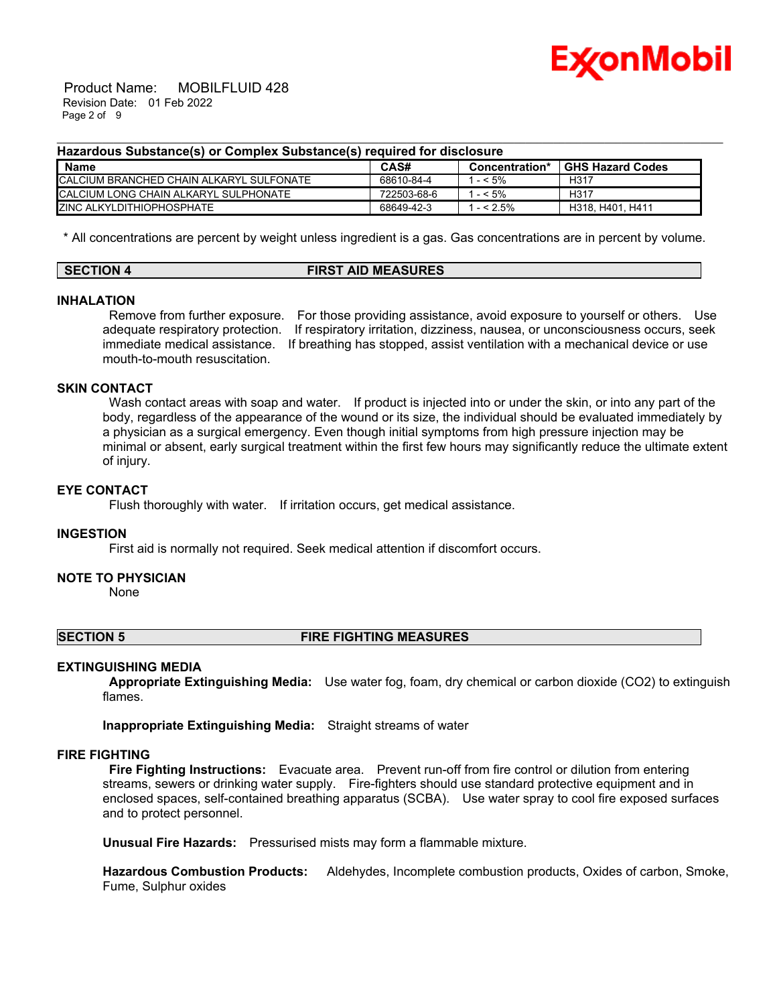

 Product Name: MOBILFLUID 428 Revision Date: 01 Feb 2022 Page 2 of 9

#### **Hazardous Substance(s) or Complex Substance(s) required for disclosure**

| Name                                     | CAS#        | Concentration* | <b>GHS Hazard Codes</b> |
|------------------------------------------|-------------|----------------|-------------------------|
| CALCIUM BRANCHED CHAIN ALKARYL SULFONATE | 68610-84-4  | $-5\%$         | H <sub>317</sub>        |
| ICALCIUM LONG CHAIN ALKARYL SULPHONATE   | 722503-68-6 | $- < 5\%$      | H <sub>317</sub>        |
| <b>ZINC ALKYLDITHIOPHOSPHATE</b>         | 68649-42-3  | $- < 2.5\%$    | H318, H401, H411        |

\_\_\_\_\_\_\_\_\_\_\_\_\_\_\_\_\_\_\_\_\_\_\_\_\_\_\_\_\_\_\_\_\_\_\_\_\_\_\_\_\_\_\_\_\_\_\_\_\_\_\_\_\_\_\_\_\_\_\_\_\_\_\_\_\_\_\_\_\_\_\_\_\_\_\_\_\_\_\_\_\_\_\_\_\_\_\_\_\_\_\_\_\_\_\_\_\_\_\_\_\_\_\_\_\_\_\_\_\_\_\_\_\_\_\_\_\_\_

\* All concentrations are percent by weight unless ingredient is a gas. Gas concentrations are in percent by volume.

| <b>SECTION 4</b> | <b>FIRST AID MEASURES</b> |
|------------------|---------------------------|
|                  |                           |

#### **INHALATION**

Remove from further exposure. For those providing assistance, avoid exposure to yourself or others. Use adequate respiratory protection. If respiratory irritation, dizziness, nausea, or unconsciousness occurs, seek immediate medical assistance. If breathing has stopped, assist ventilation with a mechanical device or use mouth-to-mouth resuscitation.

## **SKIN CONTACT**

Wash contact areas with soap and water. If product is injected into or under the skin, or into any part of the body, regardless of the appearance of the wound or its size, the individual should be evaluated immediately by a physician as a surgical emergency. Even though initial symptoms from high pressure injection may be minimal or absent, early surgical treatment within the first few hours may significantly reduce the ultimate extent of injury.

## **EYE CONTACT**

Flush thoroughly with water. If irritation occurs, get medical assistance.

#### **INGESTION**

First aid is normally not required. Seek medical attention if discomfort occurs.

#### **NOTE TO PHYSICIAN**

None

#### **SECTION 5 FIRE FIGHTING MEASURES**

#### **EXTINGUISHING MEDIA**

**Appropriate Extinguishing Media:** Use water fog, foam, dry chemical or carbon dioxide (CO2) to extinguish flames.

**Inappropriate Extinguishing Media:** Straight streams of water

#### **FIRE FIGHTING**

**Fire Fighting Instructions:** Evacuate area. Prevent run-off from fire control or dilution from entering streams, sewers or drinking water supply. Fire-fighters should use standard protective equipment and in enclosed spaces, self-contained breathing apparatus (SCBA). Use water spray to cool fire exposed surfaces and to protect personnel.

**Unusual Fire Hazards:** Pressurised mists may form a flammable mixture.

**Hazardous Combustion Products:** Aldehydes, Incomplete combustion products, Oxides of carbon, Smoke, Fume, Sulphur oxides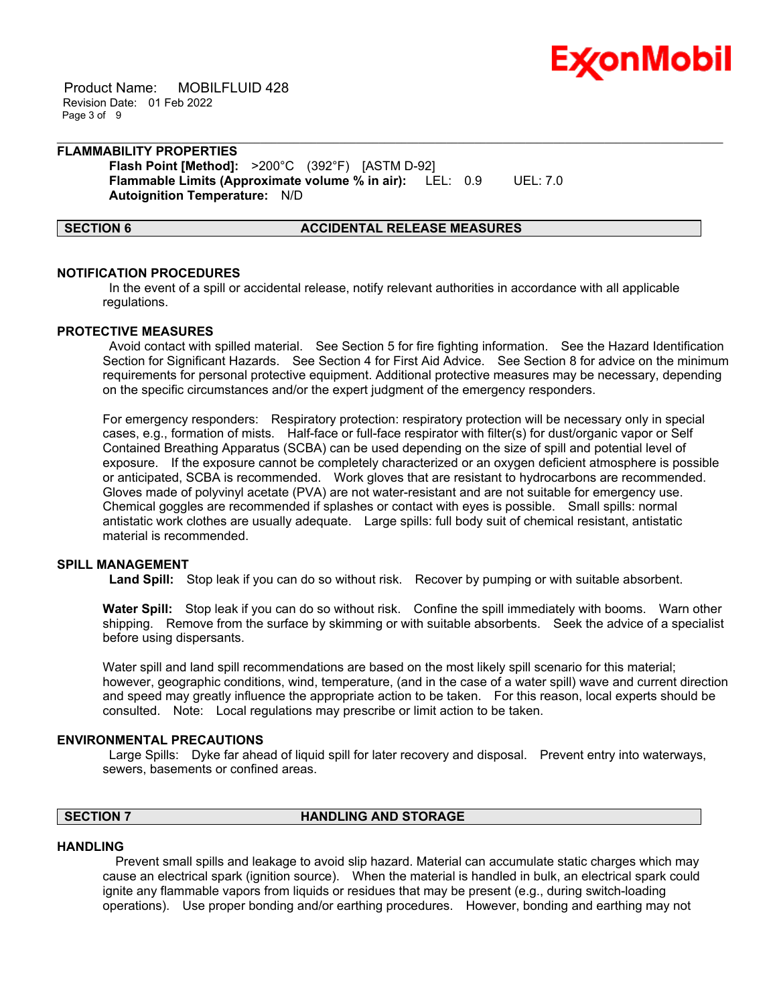

 Product Name: MOBILFLUID 428 Revision Date: 01 Feb 2022 Page 3 of 9

## **FLAMMABILITY PROPERTIES Flash Point [Method]:** >200°C (392°F) [ASTM D-92]

**Flammable Limits (Approximate volume % in air):** LEL: 0.9 UEL: 7.0 **Autoignition Temperature:** N/D

#### **SECTION 6 ACCIDENTAL RELEASE MEASURES**

#### **NOTIFICATION PROCEDURES**

In the event of a spill or accidental release, notify relevant authorities in accordance with all applicable regulations.

\_\_\_\_\_\_\_\_\_\_\_\_\_\_\_\_\_\_\_\_\_\_\_\_\_\_\_\_\_\_\_\_\_\_\_\_\_\_\_\_\_\_\_\_\_\_\_\_\_\_\_\_\_\_\_\_\_\_\_\_\_\_\_\_\_\_\_\_\_\_\_\_\_\_\_\_\_\_\_\_\_\_\_\_\_\_\_\_\_\_\_\_\_\_\_\_\_\_\_\_\_\_\_\_\_\_\_\_\_\_\_\_\_\_\_\_\_\_

#### **PROTECTIVE MEASURES**

Avoid contact with spilled material. See Section 5 for fire fighting information. See the Hazard Identification Section for Significant Hazards. See Section 4 for First Aid Advice. See Section 8 for advice on the minimum requirements for personal protective equipment. Additional protective measures may be necessary, depending on the specific circumstances and/or the expert judgment of the emergency responders.

For emergency responders: Respiratory protection: respiratory protection will be necessary only in special cases, e.g., formation of mists. Half-face or full-face respirator with filter(s) for dust/organic vapor or Self Contained Breathing Apparatus (SCBA) can be used depending on the size of spill and potential level of exposure. If the exposure cannot be completely characterized or an oxygen deficient atmosphere is possible or anticipated, SCBA is recommended. Work gloves that are resistant to hydrocarbons are recommended. Gloves made of polyvinyl acetate (PVA) are not water-resistant and are not suitable for emergency use. Chemical goggles are recommended if splashes or contact with eyes is possible. Small spills: normal antistatic work clothes are usually adequate. Large spills: full body suit of chemical resistant, antistatic material is recommended.

#### **SPILL MANAGEMENT**

**Land Spill:** Stop leak if you can do so without risk. Recover by pumping or with suitable absorbent.

**Water Spill:** Stop leak if you can do so without risk. Confine the spill immediately with booms. Warn other shipping. Remove from the surface by skimming or with suitable absorbents. Seek the advice of a specialist before using dispersants.

Water spill and land spill recommendations are based on the most likely spill scenario for this material; however, geographic conditions, wind, temperature, (and in the case of a water spill) wave and current direction and speed may greatly influence the appropriate action to be taken. For this reason, local experts should be consulted. Note: Local regulations may prescribe or limit action to be taken.

#### **ENVIRONMENTAL PRECAUTIONS**

Large Spills: Dyke far ahead of liquid spill for later recovery and disposal. Prevent entry into waterways, sewers, basements or confined areas.

## **SECTION 7 HANDLING AND STORAGE**

#### **HANDLING**

 Prevent small spills and leakage to avoid slip hazard. Material can accumulate static charges which may cause an electrical spark (ignition source). When the material is handled in bulk, an electrical spark could ignite any flammable vapors from liquids or residues that may be present (e.g., during switch-loading operations). Use proper bonding and/or earthing procedures. However, bonding and earthing may not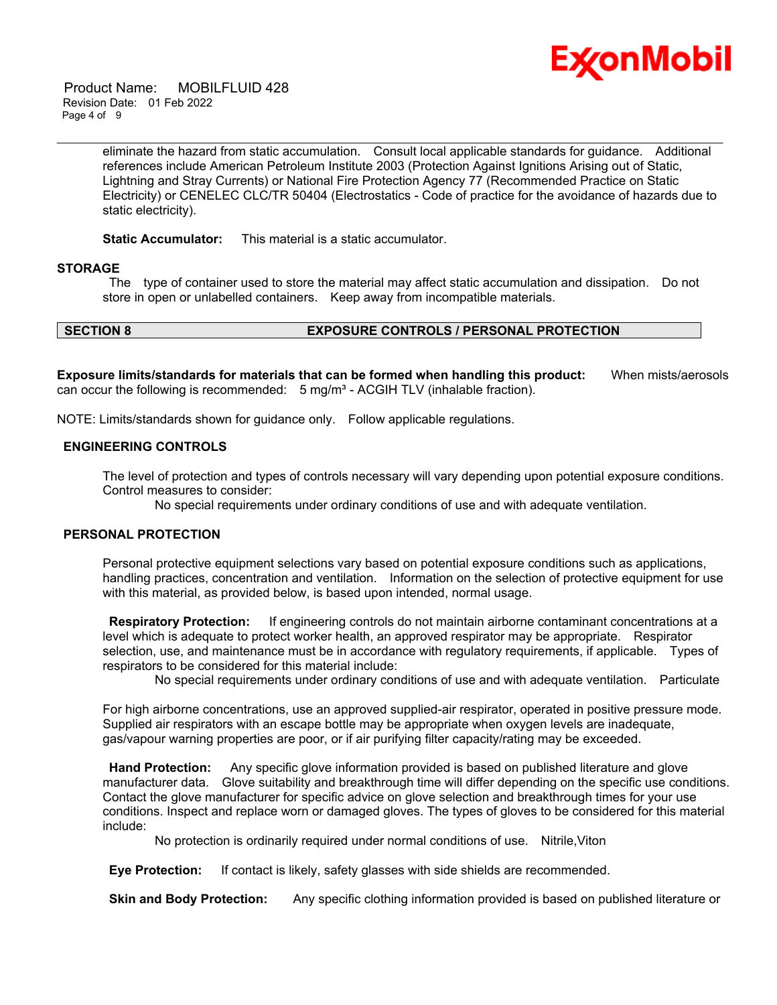

 Product Name: MOBILFLUID 428 Revision Date: 01 Feb 2022 Page 4 of 9

> eliminate the hazard from static accumulation. Consult local applicable standards for guidance. Additional references include American Petroleum Institute 2003 (Protection Against Ignitions Arising out of Static, Lightning and Stray Currents) or National Fire Protection Agency 77 (Recommended Practice on Static Electricity) or CENELEC CLC/TR 50404 (Electrostatics - Code of practice for the avoidance of hazards due to static electricity).

\_\_\_\_\_\_\_\_\_\_\_\_\_\_\_\_\_\_\_\_\_\_\_\_\_\_\_\_\_\_\_\_\_\_\_\_\_\_\_\_\_\_\_\_\_\_\_\_\_\_\_\_\_\_\_\_\_\_\_\_\_\_\_\_\_\_\_\_\_\_\_\_\_\_\_\_\_\_\_\_\_\_\_\_\_\_\_\_\_\_\_\_\_\_\_\_\_\_\_\_\_\_\_\_\_\_\_\_\_\_\_\_\_\_\_\_\_\_

**Static Accumulator:** This material is a static accumulator.

#### **STORAGE**

The type of container used to store the material may affect static accumulation and dissipation. Do not store in open or unlabelled containers. Keep away from incompatible materials.

## **SECTION 8 EXPOSURE CONTROLS / PERSONAL PROTECTION**

**Exposure limits/standards for materials that can be formed when handling this product:** When mists/aerosols can occur the following is recommended:  $5 \text{ mg/m}^3$  - ACGIH TLV (inhalable fraction).

NOTE: Limits/standards shown for guidance only. Follow applicable regulations.

#### **ENGINEERING CONTROLS**

The level of protection and types of controls necessary will vary depending upon potential exposure conditions. Control measures to consider:

No special requirements under ordinary conditions of use and with adequate ventilation.

#### **PERSONAL PROTECTION**

Personal protective equipment selections vary based on potential exposure conditions such as applications, handling practices, concentration and ventilation. Information on the selection of protective equipment for use with this material, as provided below, is based upon intended, normal usage.

**Respiratory Protection:** If engineering controls do not maintain airborne contaminant concentrations at a level which is adequate to protect worker health, an approved respirator may be appropriate. Respirator selection, use, and maintenance must be in accordance with regulatory requirements, if applicable. Types of respirators to be considered for this material include:

No special requirements under ordinary conditions of use and with adequate ventilation. Particulate

For high airborne concentrations, use an approved supplied-air respirator, operated in positive pressure mode. Supplied air respirators with an escape bottle may be appropriate when oxygen levels are inadequate, gas/vapour warning properties are poor, or if air purifying filter capacity/rating may be exceeded.

**Hand Protection:** Any specific glove information provided is based on published literature and glove manufacturer data. Glove suitability and breakthrough time will differ depending on the specific use conditions. Contact the glove manufacturer for specific advice on glove selection and breakthrough times for your use conditions. Inspect and replace worn or damaged gloves. The types of gloves to be considered for this material include:

No protection is ordinarily required under normal conditions of use. Nitrile,Viton

**Eye Protection:** If contact is likely, safety glasses with side shields are recommended.

**Skin and Body Protection:** Any specific clothing information provided is based on published literature or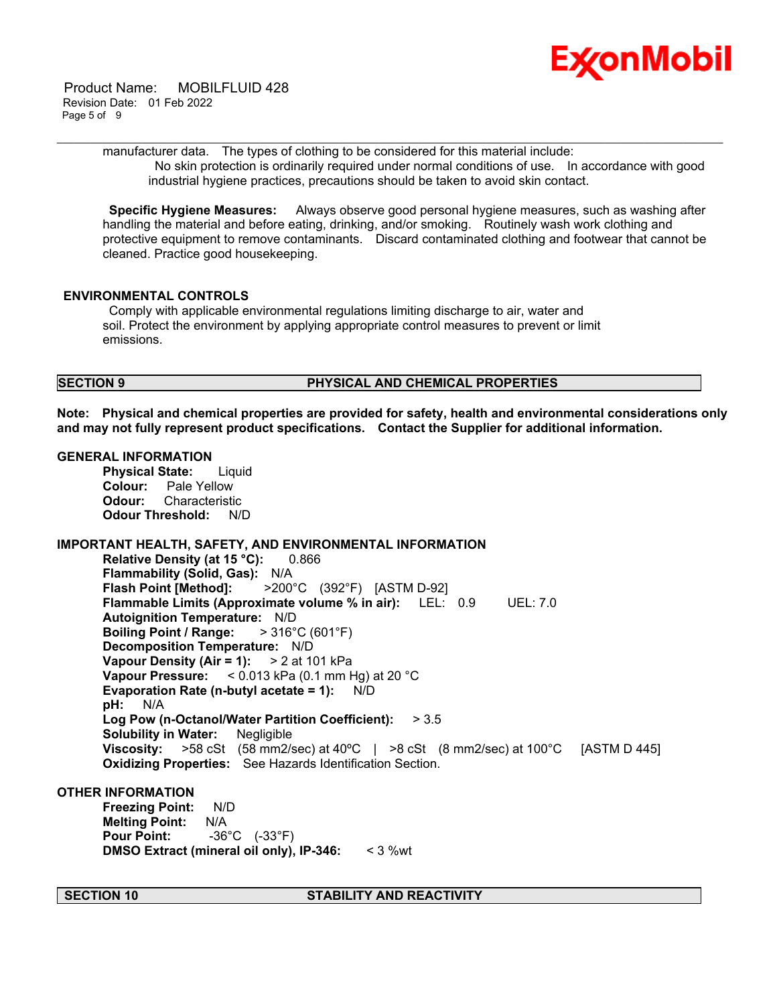

 Product Name: MOBILFLUID 428 Revision Date: 01 Feb 2022 Page 5 of 9

> manufacturer data. The types of clothing to be considered for this material include: No skin protection is ordinarily required under normal conditions of use. In accordance with good industrial hygiene practices, precautions should be taken to avoid skin contact.

\_\_\_\_\_\_\_\_\_\_\_\_\_\_\_\_\_\_\_\_\_\_\_\_\_\_\_\_\_\_\_\_\_\_\_\_\_\_\_\_\_\_\_\_\_\_\_\_\_\_\_\_\_\_\_\_\_\_\_\_\_\_\_\_\_\_\_\_\_\_\_\_\_\_\_\_\_\_\_\_\_\_\_\_\_\_\_\_\_\_\_\_\_\_\_\_\_\_\_\_\_\_\_\_\_\_\_\_\_\_\_\_\_\_\_\_\_\_

**Specific Hygiene Measures:** Always observe good personal hygiene measures, such as washing after handling the material and before eating, drinking, and/or smoking. Routinely wash work clothing and protective equipment to remove contaminants. Discard contaminated clothing and footwear that cannot be cleaned. Practice good housekeeping.

#### **ENVIRONMENTAL CONTROLS**

Comply with applicable environmental regulations limiting discharge to air, water and soil. Protect the environment by applying appropriate control measures to prevent or limit emissions.

#### **SECTION 9 PHYSICAL AND CHEMICAL PROPERTIES**

**Note: Physical and chemical properties are provided for safety, health and environmental considerations only and may not fully represent product specifications. Contact the Supplier for additional information.**

#### **GENERAL INFORMATION**

**Physical State:** Liquid **Colour:** Pale Yellow **Odour:** Characteristic **Odour Threshold:** N/D

### **IMPORTANT HEALTH, SAFETY, AND ENVIRONMENTAL INFORMATION**

**Relative Density (at 15 °C):** 0.866 **Flammability (Solid, Gas):** N/A **Flash Point [Method]:** >200°C (392°F) [ASTM D-92] **Flammable Limits (Approximate volume % in air):** LEL: 0.9 UEL: 7.0 **Autoignition Temperature:** N/D **Boiling Point / Range:** > 316°C (601°F) **Decomposition Temperature:** N/D **Vapour Density (Air = 1):** > 2 at 101 kPa **Vapour Pressure:** < 0.013 kPa (0.1 mm Hg) at 20 °C **Evaporation Rate (n-butyl acetate = 1):** N/D **pH:** N/A **Log Pow (n-Octanol/Water Partition Coefficient):** > 3.5 **Solubility in Water:** Negligible **Viscosity:** >58 cSt (58 mm2/sec) at 40ºC | >8 cSt (8 mm2/sec) at 100°C [ASTM D 445] **Oxidizing Properties:** See Hazards Identification Section.

#### **OTHER INFORMATION**

**Freezing Point:** N/D **Melting Point:** N/A **Pour Point:** -36°C (-33°F) **DMSO Extract (mineral oil only), IP-346:** < 3 %wt

#### **SECTION 10 STABILITY AND REACTIVITY**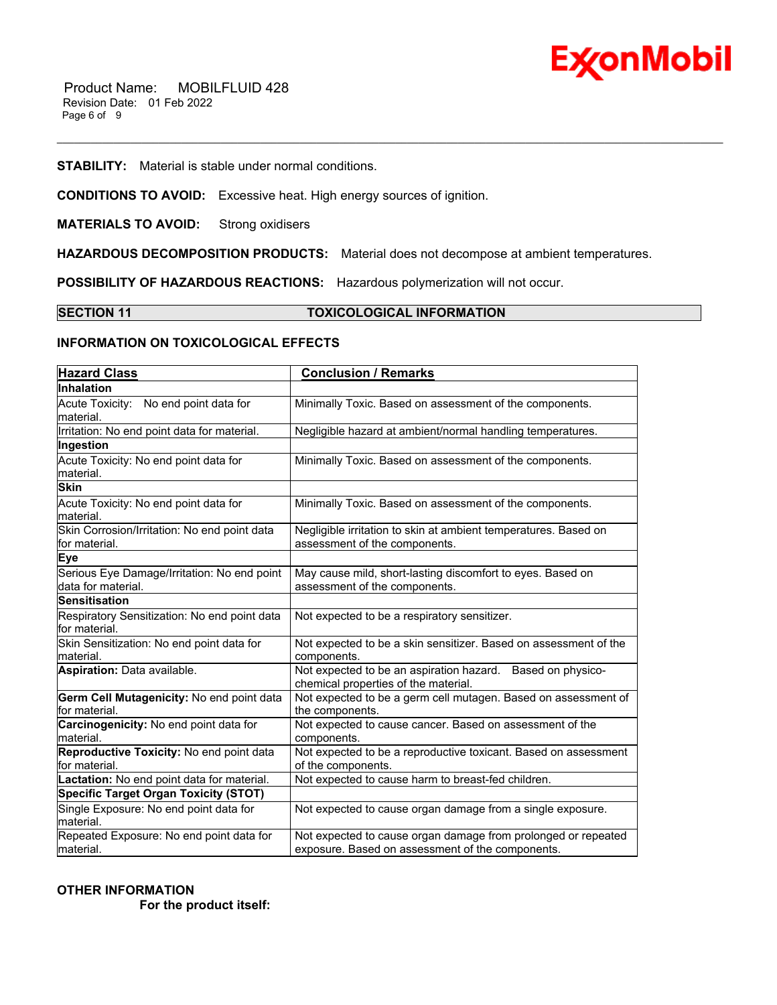

#### **STABILITY:** Material is stable under normal conditions.

**CONDITIONS TO AVOID:** Excessive heat. High energy sources of ignition.

**MATERIALS TO AVOID:** Strong oxidisers

**HAZARDOUS DECOMPOSITION PRODUCTS:** Material does not decompose at ambient temperatures.

**POSSIBILITY OF HAZARDOUS REACTIONS:** Hazardous polymerization will not occur.

#### **SECTION 11 TOXICOLOGICAL INFORMATION**

\_\_\_\_\_\_\_\_\_\_\_\_\_\_\_\_\_\_\_\_\_\_\_\_\_\_\_\_\_\_\_\_\_\_\_\_\_\_\_\_\_\_\_\_\_\_\_\_\_\_\_\_\_\_\_\_\_\_\_\_\_\_\_\_\_\_\_\_\_\_\_\_\_\_\_\_\_\_\_\_\_\_\_\_\_\_\_\_\_\_\_\_\_\_\_\_\_\_\_\_\_\_\_\_\_\_\_\_\_\_\_\_\_\_\_\_\_\_

#### **INFORMATION ON TOXICOLOGICAL EFFECTS**

| <b>Hazard Class</b>                                               | <b>Conclusion / Remarks</b>                                                                                       |  |
|-------------------------------------------------------------------|-------------------------------------------------------------------------------------------------------------------|--|
| <b>Inhalation</b>                                                 |                                                                                                                   |  |
| Acute Toxicity: No end point data for<br>material.                | Minimally Toxic. Based on assessment of the components.                                                           |  |
| Irritation: No end point data for material.                       | Negligible hazard at ambient/normal handling temperatures.                                                        |  |
| Ingestion                                                         |                                                                                                                   |  |
| Acute Toxicity: No end point data for<br>material.                | Minimally Toxic. Based on assessment of the components.                                                           |  |
| <b>Skin</b>                                                       |                                                                                                                   |  |
| Acute Toxicity: No end point data for<br>material.                | Minimally Toxic. Based on assessment of the components.                                                           |  |
| Skin Corrosion/Irritation: No end point data<br>for material.     | Negligible irritation to skin at ambient temperatures. Based on<br>assessment of the components.                  |  |
| <b>Eye</b>                                                        |                                                                                                                   |  |
| Serious Eye Damage/Irritation: No end point<br>data for material. | May cause mild, short-lasting discomfort to eyes. Based on<br>assessment of the components.                       |  |
| <b>Sensitisation</b>                                              |                                                                                                                   |  |
| Respiratory Sensitization: No end point data<br>for material.     | Not expected to be a respiratory sensitizer.                                                                      |  |
| Skin Sensitization: No end point data for<br>material.            | Not expected to be a skin sensitizer. Based on assessment of the<br>components.                                   |  |
| Aspiration: Data available.                                       | Not expected to be an aspiration hazard. Based on physico-<br>chemical properties of the material.                |  |
| Germ Cell Mutagenicity: No end point data<br>for material.        | Not expected to be a germ cell mutagen. Based on assessment of<br>the components.                                 |  |
| Carcinogenicity: No end point data for<br>material.               | Not expected to cause cancer. Based on assessment of the<br>components.                                           |  |
| Reproductive Toxicity: No end point data<br>for material.         | Not expected to be a reproductive toxicant. Based on assessment<br>of the components.                             |  |
| Lactation: No end point data for material.                        | Not expected to cause harm to breast-fed children.                                                                |  |
| <b>Specific Target Organ Toxicity (STOT)</b>                      |                                                                                                                   |  |
| Single Exposure: No end point data for<br>material.               | Not expected to cause organ damage from a single exposure.                                                        |  |
| Repeated Exposure: No end point data for<br>material.             | Not expected to cause organ damage from prolonged or repeated<br>exposure. Based on assessment of the components. |  |

### **OTHER INFORMATION For the product itself:**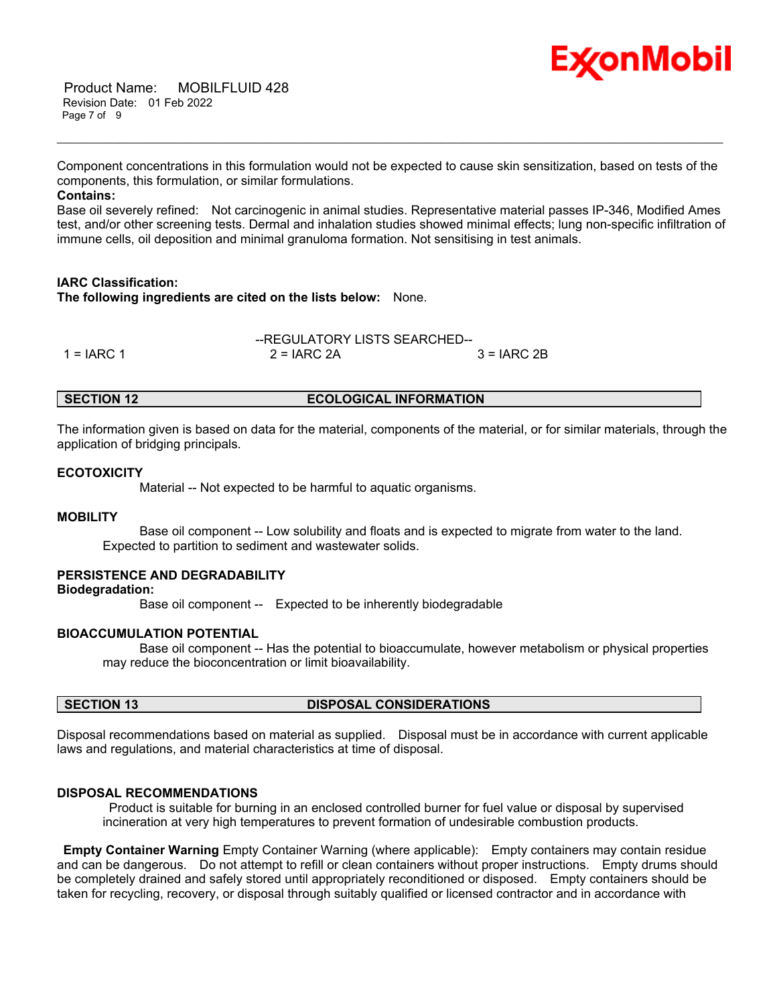# Ex⁄onMobil

 Product Name: MOBILFLUID 428 Revision Date: 01 Feb 2022 Page 7 of 9

Component concentrations in this formulation would not be expected to cause skin sensitization, based on tests of the components, this formulation, or similar formulations.

\_\_\_\_\_\_\_\_\_\_\_\_\_\_\_\_\_\_\_\_\_\_\_\_\_\_\_\_\_\_\_\_\_\_\_\_\_\_\_\_\_\_\_\_\_\_\_\_\_\_\_\_\_\_\_\_\_\_\_\_\_\_\_\_\_\_\_\_\_\_\_\_\_\_\_\_\_\_\_\_\_\_\_\_\_\_\_\_\_\_\_\_\_\_\_\_\_\_\_\_\_\_\_\_\_\_\_\_\_\_\_\_\_\_\_\_\_\_

#### **Contains:**

Base oil severely refined: Not carcinogenic in animal studies. Representative material passes IP-346, Modified Ames test, and/or other screening tests. Dermal and inhalation studies showed minimal effects; lung non-specific infiltration of immune cells, oil deposition and minimal granuloma formation. Not sensitising in test animals.

#### **IARC Classification: The following ingredients are cited on the lists below:** None.

|            | --REGULATORY LISTS SEARCHED-- |               |  |
|------------|-------------------------------|---------------|--|
| 1 = IARC 1 | $2 = IARC 2A$                 | $3 = IARC 2B$ |  |

#### **SECTION 12 ECOLOGICAL INFORMATION**

The information given is based on data for the material, components of the material, or for similar materials, through the application of bridging principals.

#### **ECOTOXICITY**

Material -- Not expected to be harmful to aquatic organisms.

#### **MOBILITY**

 Base oil component -- Low solubility and floats and is expected to migrate from water to the land. Expected to partition to sediment and wastewater solids.

## **PERSISTENCE AND DEGRADABILITY**

#### **Biodegradation:**

Base oil component -- Expected to be inherently biodegradable

#### **BIOACCUMULATION POTENTIAL**

 Base oil component -- Has the potential to bioaccumulate, however metabolism or physical properties may reduce the bioconcentration or limit bioavailability.

### **SECTION 13 DISPOSAL CONSIDERATIONS**

Disposal recommendations based on material as supplied. Disposal must be in accordance with current applicable laws and regulations, and material characteristics at time of disposal.

#### **DISPOSAL RECOMMENDATIONS**

Product is suitable for burning in an enclosed controlled burner for fuel value or disposal by supervised incineration at very high temperatures to prevent formation of undesirable combustion products.

**Empty Container Warning** Empty Container Warning (where applicable): Empty containers may contain residue and can be dangerous. Do not attempt to refill or clean containers without proper instructions. Empty drums should be completely drained and safely stored until appropriately reconditioned or disposed. Empty containers should be taken for recycling, recovery, or disposal through suitably qualified or licensed contractor and in accordance with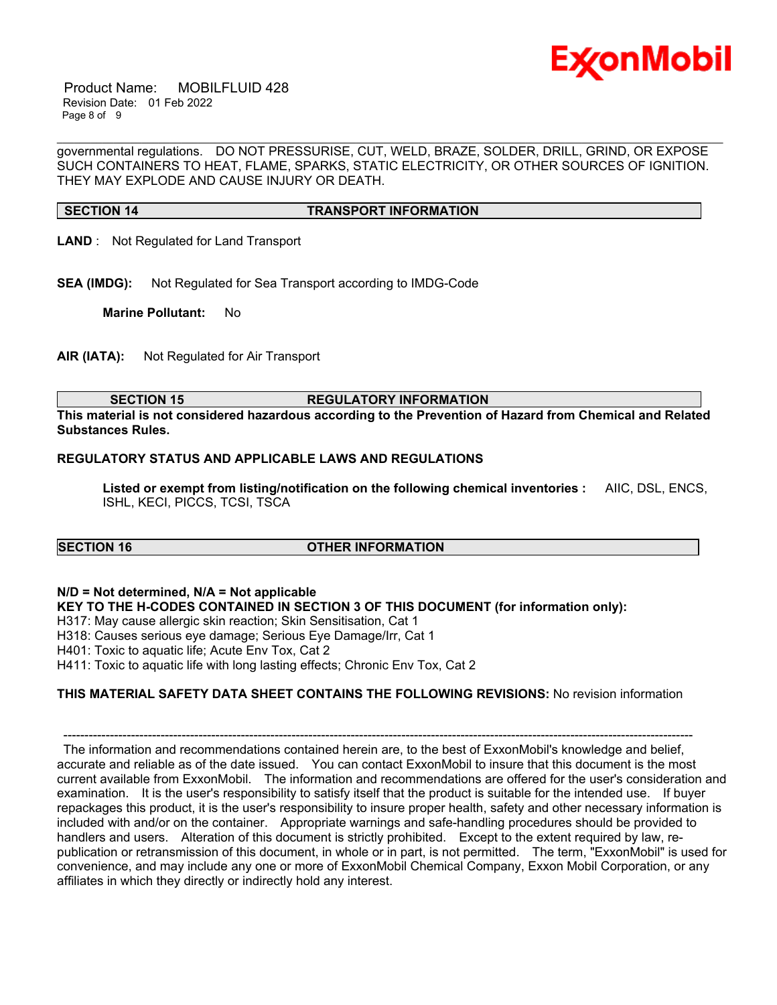

 Product Name: MOBILFLUID 428 Revision Date: 01 Feb 2022 Page 8 of 9

governmental regulations. DO NOT PRESSURISE, CUT, WELD, BRAZE, SOLDER, DRILL, GRIND, OR EXPOSE SUCH CONTAINERS TO HEAT, FLAME, SPARKS, STATIC ELECTRICITY, OR OTHER SOURCES OF IGNITION. THEY MAY EXPLODE AND CAUSE INJURY OR DEATH.

\_\_\_\_\_\_\_\_\_\_\_\_\_\_\_\_\_\_\_\_\_\_\_\_\_\_\_\_\_\_\_\_\_\_\_\_\_\_\_\_\_\_\_\_\_\_\_\_\_\_\_\_\_\_\_\_\_\_\_\_\_\_\_\_\_\_\_\_\_\_\_\_\_\_\_\_\_\_\_\_\_\_\_\_\_\_\_\_\_\_\_\_\_\_\_\_\_\_\_\_\_\_\_\_\_\_\_\_\_\_\_\_\_\_\_\_\_\_

#### **SECTION 14 TRANSPORT INFORMATION**

- **LAND** : Not Regulated for Land Transport
- **SEA (IMDG):** Not Regulated for Sea Transport according to IMDG-Code

**Marine Pollutant:** No

**AIR (IATA):** Not Regulated for Air Transport

#### **SECTION 15 REGULATORY INFORMATION**

**This material is not considered hazardous according to the Prevention of Hazard from Chemical and Related Substances Rules.**

#### **REGULATORY STATUS AND APPLICABLE LAWS AND REGULATIONS**

**Listed or exempt from listing/notification on the following chemical inventories :** AIIC, DSL, ENCS, ISHL, KECI, PICCS, TCSI, TSCA

#### **SECTION 16 OTHER INFORMATION**

#### **N/D = Not determined, N/A = Not applicable**

**KEY TO THE H-CODES CONTAINED IN SECTION 3 OF THIS DOCUMENT (for information only):**

- H317: May cause allergic skin reaction; Skin Sensitisation, Cat 1
- H318: Causes serious eye damage; Serious Eye Damage/Irr, Cat 1

H401: Toxic to aquatic life; Acute Env Tox, Cat 2

H411: Toxic to aquatic life with long lasting effects; Chronic Env Tox, Cat 2

#### **THIS MATERIAL SAFETY DATA SHEET CONTAINS THE FOLLOWING REVISIONS:** No revision information

----------------------------------------------------------------------------------------------------------------------------------------------------- The information and recommendations contained herein are, to the best of ExxonMobil's knowledge and belief, accurate and reliable as of the date issued. You can contact ExxonMobil to insure that this document is the most current available from ExxonMobil. The information and recommendations are offered for the user's consideration and examination. It is the user's responsibility to satisfy itself that the product is suitable for the intended use. If buyer repackages this product, it is the user's responsibility to insure proper health, safety and other necessary information is included with and/or on the container. Appropriate warnings and safe-handling procedures should be provided to handlers and users. Alteration of this document is strictly prohibited. Except to the extent required by law, republication or retransmission of this document, in whole or in part, is not permitted. The term, "ExxonMobil" is used for convenience, and may include any one or more of ExxonMobil Chemical Company, Exxon Mobil Corporation, or any affiliates in which they directly or indirectly hold any interest.